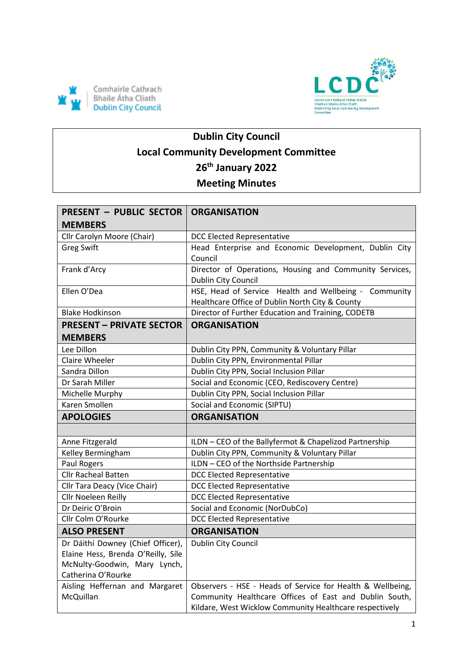



# **Dublin City Council Local Community Development Committee 26th January 2022 Meeting Minutes**

| <b>PRESENT - PUBLIC SECTOR</b>     | <b>ORGANISATION</b>                                                                                               |
|------------------------------------|-------------------------------------------------------------------------------------------------------------------|
| <b>MEMBERS</b>                     |                                                                                                                   |
| Cllr Carolyn Moore (Chair)         | <b>DCC Elected Representative</b>                                                                                 |
| <b>Greg Swift</b>                  | Head Enterprise and Economic Development, Dublin City                                                             |
|                                    | Council                                                                                                           |
| Frank d'Arcy                       | Director of Operations, Housing and Community Services,                                                           |
|                                    | Dublin City Council                                                                                               |
| Ellen O'Dea                        | HSE, Head of Service Health and Wellbeing - Community                                                             |
|                                    | Healthcare Office of Dublin North City & County                                                                   |
| <b>Blake Hodkinson</b>             | Director of Further Education and Training, CODETB                                                                |
| <b>PRESENT - PRIVATE SECTOR</b>    | <b>ORGANISATION</b>                                                                                               |
| <b>MEMBERS</b>                     |                                                                                                                   |
| Lee Dillon                         | Dublin City PPN, Community & Voluntary Pillar                                                                     |
| Claire Wheeler                     | Dublin City PPN, Environmental Pillar                                                                             |
| Sandra Dillon                      | Dublin City PPN, Social Inclusion Pillar                                                                          |
| Dr Sarah Miller                    | Social and Economic (CEO, Rediscovery Centre)                                                                     |
| Michelle Murphy                    | Dublin City PPN, Social Inclusion Pillar                                                                          |
| Karen Smollen                      | Social and Economic (SIPTU)                                                                                       |
|                                    |                                                                                                                   |
| <b>APOLOGIES</b>                   | <b>ORGANISATION</b>                                                                                               |
|                                    |                                                                                                                   |
| Anne Fitzgerald                    | ILDN - CEO of the Ballyfermot & Chapelizod Partnership                                                            |
| Kelley Bermingham                  | Dublin City PPN, Community & Voluntary Pillar                                                                     |
| Paul Rogers                        | ILDN - CEO of the Northside Partnership                                                                           |
| <b>Cllr Racheal Batten</b>         | <b>DCC Elected Representative</b>                                                                                 |
| Cllr Tara Deacy (Vice Chair)       | <b>DCC Elected Representative</b>                                                                                 |
| Cllr Noeleen Reilly                | <b>DCC Elected Representative</b>                                                                                 |
| Dr Deiric O'Broin                  | Social and Economic (NorDubCo)                                                                                    |
| Cllr Colm O'Rourke                 | <b>DCC Elected Representative</b>                                                                                 |
| <b>ALSO PRESENT</b>                | <b>ORGANISATION</b>                                                                                               |
| Dr Dáithí Downey (Chief Officer),  | Dublin City Council                                                                                               |
| Elaine Hess, Brenda O'Reilly, Síle |                                                                                                                   |
| McNulty-Goodwin, Mary Lynch,       |                                                                                                                   |
| Catherina O'Rourke                 |                                                                                                                   |
| Aisling Heffernan and Margaret     | Observers - HSE - Heads of Service for Health & Wellbeing,                                                        |
| McQuillan                          | Community Healthcare Offices of East and Dublin South,<br>Kildare, West Wicklow Community Healthcare respectively |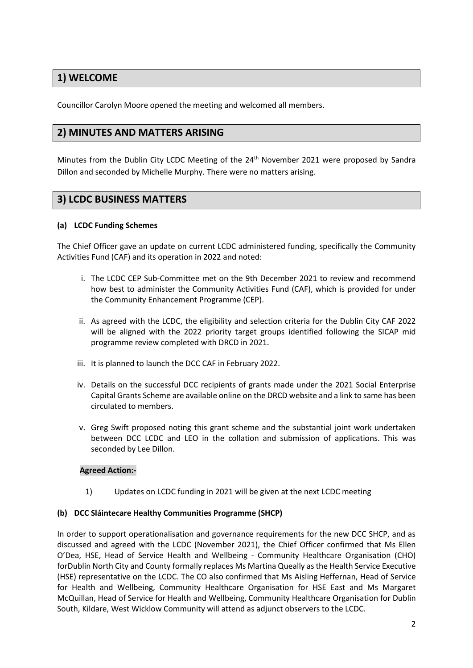## **1) WELCOME**

Councillor Carolyn Moore opened the meeting and welcomed all members.

## **2) MINUTES AND MATTERS ARISING**

Minutes from the Dublin City LCDC Meeting of the 24<sup>th</sup> November 2021 were proposed by Sandra Dillon and seconded by Michelle Murphy. There were no matters arising.

## **3) LCDC BUSINESS MATTERS**

#### **(a) LCDC Funding Schemes**

The Chief Officer gave an update on current LCDC administered funding, specifically the Community Activities Fund (CAF) and its operation in 2022 and noted:

- i. The LCDC CEP Sub-Committee met on the 9th December 2021 to review and recommend how best to administer the Community Activities Fund (CAF), which is provided for under the Community Enhancement Programme (CEP).
- ii. As agreed with the LCDC, the eligibility and selection criteria for the Dublin City CAF 2022 will be aligned with the 2022 priority target groups identified following the SICAP mid programme review completed with DRCD in 2021.
- iii. It is planned to launch the DCC CAF in February 2022.
- iv. Details on the successful DCC recipients of grants made under the 2021 Social Enterprise Capital Grants Scheme are available online on the DRCD website and a link to same has been circulated to members.
- v. Greg Swift proposed noting this grant scheme and the substantial joint work undertaken between DCC LCDC and LEO in the collation and submission of applications. This was seconded by Lee Dillon.

#### **Agreed Action:-**

1) Updates on LCDC funding in 2021 will be given at the next LCDC meeting

#### **(b) DCC Sláintecare Healthy Communities Programme (SHCP)**

In order to support operationalisation and governance requirements for the new DCC SHCP, and as discussed and agreed with the LCDC (November 2021), the Chief Officer confirmed that Ms Ellen O'Dea, HSE, Head of Service Health and Wellbeing - Community Healthcare Organisation (CHO) forDublin North City and County formally replaces Ms Martina Queally as the Health Service Executive (HSE) representative on the LCDC. The CO also confirmed that Ms Aisling Heffernan, Head of Service for Health and Wellbeing, Community Healthcare Organisation for HSE East and Ms Margaret McQuillan, Head of Service for Health and Wellbeing, Community Healthcare Organisation for Dublin South, Kildare, West Wicklow Community will attend as adjunct observers to the LCDC.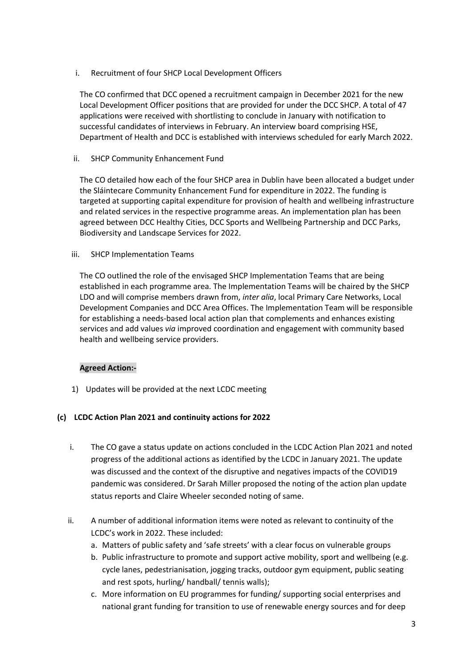i. Recruitment of four SHCP Local Development Officers

The CO confirmed that DCC opened a recruitment campaign in December 2021 for the new Local Development Officer positions that are provided for under the DCC SHCP. A total of 47 applications were received with shortlisting to conclude in January with notification to successful candidates of interviews in February. An interview board comprising HSE, Department of Health and DCC is established with interviews scheduled for early March 2022.

ii. SHCP Community Enhancement Fund

The CO detailed how each of the four SHCP area in Dublin have been allocated a budget under the Sláintecare Community Enhancement Fund for expenditure in 2022. The funding is targeted at supporting capital expenditure for provision of health and wellbeing infrastructure and related services in the respective programme areas. An implementation plan has been agreed between DCC Healthy Cities, DCC Sports and Wellbeing Partnership and DCC Parks, Biodiversity and Landscape Services for 2022.

#### iii. SHCP Implementation Teams

The CO outlined the role of the envisaged SHCP Implementation Teams that are being established in each programme area. The Implementation Teams will be chaired by the SHCP LDO and will comprise members drawn from, *inter alia*, local Primary Care Networks, Local Development Companies and DCC Area Offices. The Implementation Team will be responsible for establishing a needs-based local action plan that complements and enhances existing services and add values *via* improved coordination and engagement with community based health and wellbeing service providers.

#### **Agreed Action:-**

1) Updates will be provided at the next LCDC meeting

#### **(c) LCDC Action Plan 2021 and continuity actions for 2022**

- i. The CO gave a status update on actions concluded in the LCDC Action Plan 2021 and noted progress of the additional actions as identified by the LCDC in January 2021. The update was discussed and the context of the disruptive and negatives impacts of the COVID19 pandemic was considered. Dr Sarah Miller proposed the noting of the action plan update status reports and Claire Wheeler seconded noting of same.
- ii. A number of additional information items were noted as relevant to continuity of the LCDC's work in 2022. These included:
	- a. Matters of public safety and 'safe streets' with a clear focus on vulnerable groups
	- b. Public infrastructure to promote and support active mobility, sport and wellbeing (e.g. cycle lanes, pedestrianisation, jogging tracks, outdoor gym equipment, public seating and rest spots, hurling/ handball/ tennis walls);
	- c. More information on EU programmes for funding/ supporting social enterprises and national grant funding for transition to use of renewable energy sources and for deep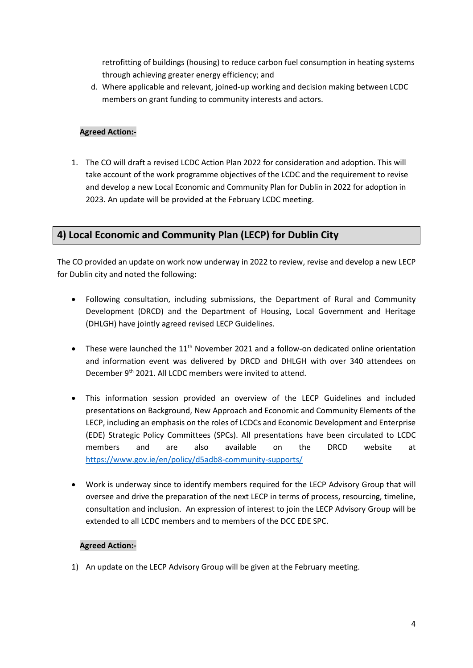retrofitting of buildings (housing) to reduce carbon fuel consumption in heating systems through achieving greater energy efficiency; and

d. Where applicable and relevant, joined-up working and decision making between LCDC members on grant funding to community interests and actors.

#### **Agreed Action:-**

1. The CO will draft a revised LCDC Action Plan 2022 for consideration and adoption. This will take account of the work programme objectives of the LCDC and the requirement to revise and develop a new Local Economic and Community Plan for Dublin in 2022 for adoption in 2023. An update will be provided at the February LCDC meeting.

## **4) Local Economic and Community Plan (LECP) for Dublin City**

The CO provided an update on work now underway in 2022 to review, revise and develop a new LECP for Dublin city and noted the following:

- Following consultation, including submissions, the Department of Rural and Community Development (DRCD) and the Department of Housing, Local Government and Heritage (DHLGH) have jointly agreed revised LECP Guidelines.
- $\bullet$  These were launched the 11<sup>th</sup> November 2021 and a follow-on dedicated online orientation and information event was delivered by DRCD and DHLGH with over 340 attendees on December 9th 2021. All LCDC members were invited to attend.
- This information session provided an overview of the LECP Guidelines and included presentations on Background, New Approach and Economic and Community Elements of the LECP, including an emphasis on the roles of LCDCs and Economic Development and Enterprise (EDE) Strategic Policy Committees (SPCs). All presentations have been circulated to LCDC members and are also available on the DRCD website at <https://www.gov.ie/en/policy/d5adb8-community-supports/>
- Work is underway since to identify members required for the LECP Advisory Group that will oversee and drive the preparation of the next LECP in terms of process, resourcing, timeline, consultation and inclusion. An expression of interest to join the LECP Advisory Group will be extended to all LCDC members and to members of the DCC EDE SPC.

#### **Agreed Action:-**

1) An update on the LECP Advisory Group will be given at the February meeting.